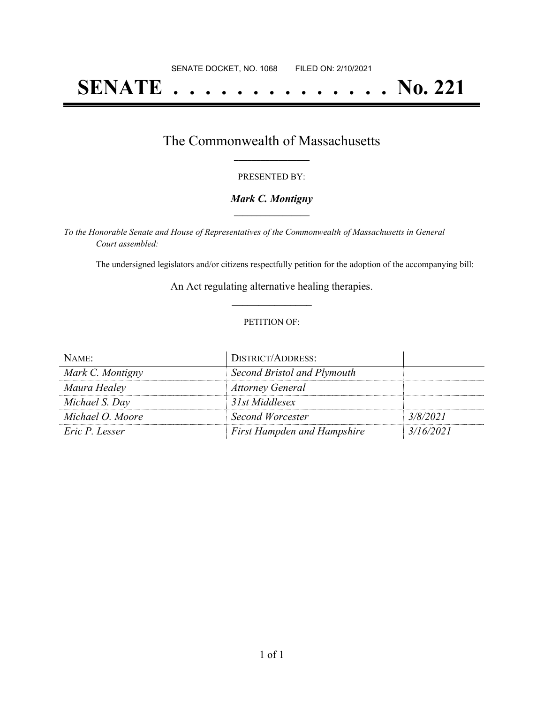# **SENATE . . . . . . . . . . . . . . No. 221**

## The Commonwealth of Massachusetts **\_\_\_\_\_\_\_\_\_\_\_\_\_\_\_\_\_**

#### PRESENTED BY:

#### *Mark C. Montigny* **\_\_\_\_\_\_\_\_\_\_\_\_\_\_\_\_\_**

*To the Honorable Senate and House of Representatives of the Commonwealth of Massachusetts in General Court assembled:*

The undersigned legislators and/or citizens respectfully petition for the adoption of the accompanying bill:

An Act regulating alternative healing therapies. **\_\_\_\_\_\_\_\_\_\_\_\_\_\_\_**

#### PETITION OF:

| NAME:            | <b>DISTRICT/ADDRESS:</b>           |           |
|------------------|------------------------------------|-----------|
| Mark C. Montigny | Second Bristol and Plymouth        |           |
| Maura Healey     | <b>Attorney General</b>            |           |
| Michael S. Day   | 31st Middlesex                     |           |
| Michael O. Moore | Second Worcester                   | 3/8/2021  |
| Eric P. Lesser   | <b>First Hampden and Hampshire</b> | 3/16/2021 |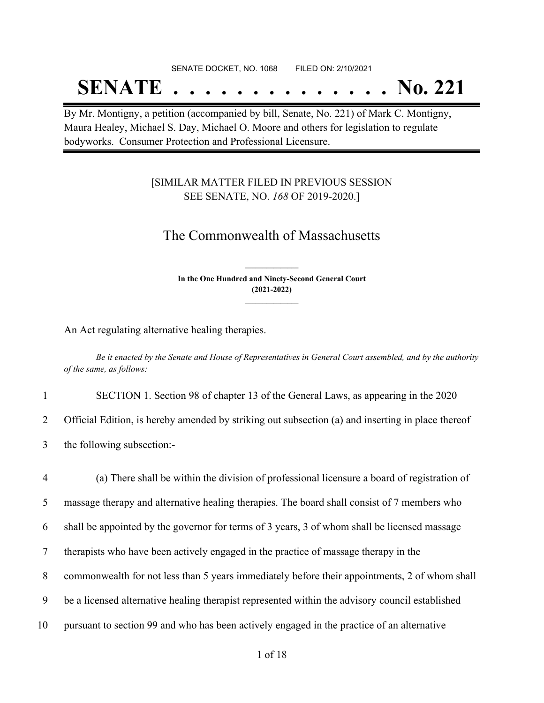## SENATE DOCKET, NO. 1068 FILED ON: 2/10/2021 **SENATE . . . . . . . . . . . . . . No. 221**

By Mr. Montigny, a petition (accompanied by bill, Senate, No. 221) of Mark C. Montigny, Maura Healey, Michael S. Day, Michael O. Moore and others for legislation to regulate bodyworks. Consumer Protection and Professional Licensure.

### [SIMILAR MATTER FILED IN PREVIOUS SESSION SEE SENATE, NO. *168* OF 2019-2020.]

## The Commonwealth of Massachusetts

**In the One Hundred and Ninety-Second General Court (2021-2022) \_\_\_\_\_\_\_\_\_\_\_\_\_\_\_**

**\_\_\_\_\_\_\_\_\_\_\_\_\_\_\_**

An Act regulating alternative healing therapies.

Be it enacted by the Senate and House of Representatives in General Court assembled, and by the authority *of the same, as follows:*

1 SECTION 1. Section 98 of chapter 13 of the General Laws, as appearing in the 2020

2 Official Edition, is hereby amended by striking out subsection (a) and inserting in place thereof

3 the following subsection:-

 (a) There shall be within the division of professional licensure a board of registration of massage therapy and alternative healing therapies. The board shall consist of 7 members who shall be appointed by the governor for terms of 3 years, 3 of whom shall be licensed massage therapists who have been actively engaged in the practice of massage therapy in the commonwealth for not less than 5 years immediately before their appointments, 2 of whom shall be a licensed alternative healing therapist represented within the advisory council established pursuant to section 99 and who has been actively engaged in the practice of an alternative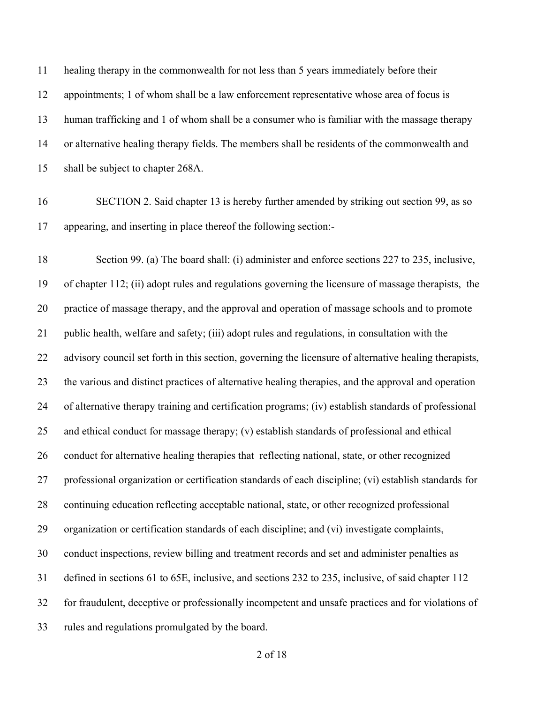healing therapy in the commonwealth for not less than 5 years immediately before their appointments; 1 of whom shall be a law enforcement representative whose area of focus is human trafficking and 1 of whom shall be a consumer who is familiar with the massage therapy or alternative healing therapy fields. The members shall be residents of the commonwealth and shall be subject to chapter 268A.

 SECTION 2. Said chapter 13 is hereby further amended by striking out section 99, as so appearing, and inserting in place thereof the following section:-

 Section 99. (a) The board shall: (i) administer and enforce sections 227 to 235, inclusive, of chapter 112; (ii) adopt rules and regulations governing the licensure of massage therapists, the practice of massage therapy, and the approval and operation of massage schools and to promote public health, welfare and safety; (iii) adopt rules and regulations, in consultation with the advisory council set forth in this section, governing the licensure of alternative healing therapists, the various and distinct practices of alternative healing therapies, and the approval and operation of alternative therapy training and certification programs; (iv) establish standards of professional and ethical conduct for massage therapy; (v) establish standards of professional and ethical conduct for alternative healing therapies that reflecting national, state, or other recognized professional organization or certification standards of each discipline; (vi) establish standards for continuing education reflecting acceptable national, state, or other recognized professional organization or certification standards of each discipline; and (vi) investigate complaints, conduct inspections, review billing and treatment records and set and administer penalties as defined in sections 61 to 65E, inclusive, and sections 232 to 235, inclusive, of said chapter 112 for fraudulent, deceptive or professionally incompetent and unsafe practices and for violations of rules and regulations promulgated by the board.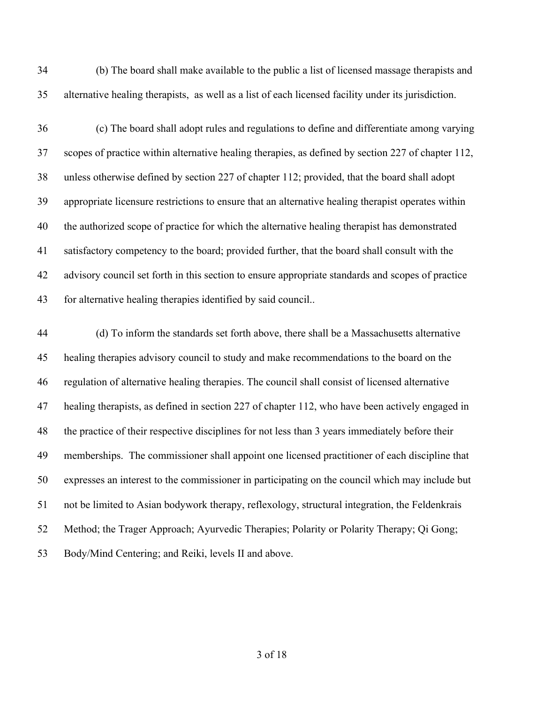(b) The board shall make available to the public a list of licensed massage therapists and alternative healing therapists, as well as a list of each licensed facility under its jurisdiction.

 (c) The board shall adopt rules and regulations to define and differentiate among varying scopes of practice within alternative healing therapies, as defined by section 227 of chapter 112, unless otherwise defined by section 227 of chapter 112; provided, that the board shall adopt appropriate licensure restrictions to ensure that an alternative healing therapist operates within the authorized scope of practice for which the alternative healing therapist has demonstrated satisfactory competency to the board; provided further, that the board shall consult with the advisory council set forth in this section to ensure appropriate standards and scopes of practice for alternative healing therapies identified by said council..

 (d) To inform the standards set forth above, there shall be a Massachusetts alternative healing therapies advisory council to study and make recommendations to the board on the regulation of alternative healing therapies. The council shall consist of licensed alternative healing therapists, as defined in section 227 of chapter 112, who have been actively engaged in the practice of their respective disciplines for not less than 3 years immediately before their memberships. The commissioner shall appoint one licensed practitioner of each discipline that expresses an interest to the commissioner in participating on the council which may include but not be limited to Asian bodywork therapy, reflexology, structural integration, the Feldenkrais Method; the Trager Approach; Ayurvedic Therapies; Polarity or Polarity Therapy; Qi Gong; Body/Mind Centering; and Reiki, levels II and above.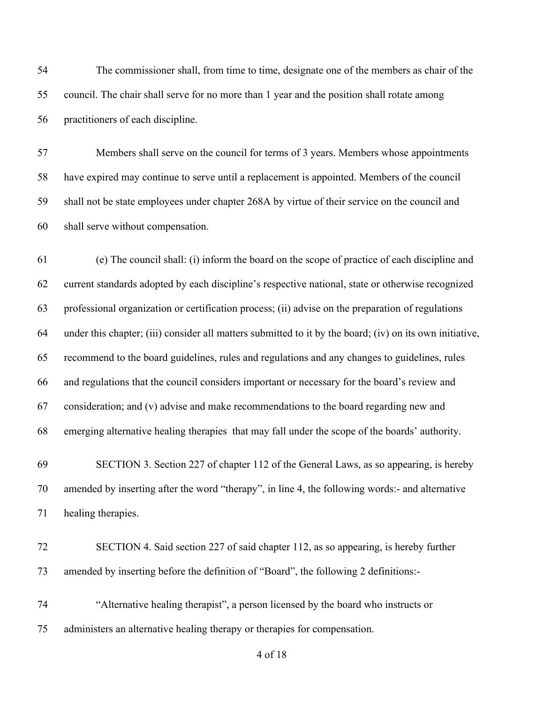The commissioner shall, from time to time, designate one of the members as chair of the council. The chair shall serve for no more than 1 year and the position shall rotate among practitioners of each discipline.

 Members shall serve on the council for terms of 3 years. Members whose appointments have expired may continue to serve until a replacement is appointed. Members of the council shall not be state employees under chapter 268A by virtue of their service on the council and shall serve without compensation.

 (e) The council shall: (i) inform the board on the scope of practice of each discipline and current standards adopted by each discipline's respective national, state or otherwise recognized professional organization or certification process; (ii) advise on the preparation of regulations under this chapter; (iii) consider all matters submitted to it by the board; (iv) on its own initiative, recommend to the board guidelines, rules and regulations and any changes to guidelines, rules and regulations that the council considers important or necessary for the board's review and consideration; and (v) advise and make recommendations to the board regarding new and emerging alternative healing therapies that may fall under the scope of the boards' authority.

 SECTION 3. Section 227 of chapter 112 of the General Laws, as so appearing, is hereby amended by inserting after the word "therapy", in line 4, the following words:- and alternative healing therapies.

 SECTION 4. Said section 227 of said chapter 112, as so appearing, is hereby further amended by inserting before the definition of "Board", the following 2 definitions:-

 "Alternative healing therapist", a person licensed by the board who instructs or administers an alternative healing therapy or therapies for compensation.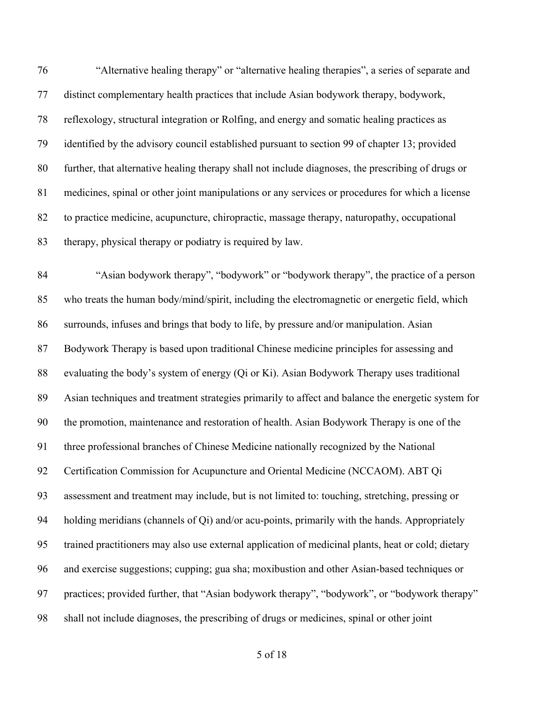"Alternative healing therapy" or "alternative healing therapies", a series of separate and distinct complementary health practices that include Asian bodywork therapy, bodywork, reflexology, structural integration or Rolfing, and energy and somatic healing practices as identified by the advisory council established pursuant to section 99 of chapter 13; provided further, that alternative healing therapy shall not include diagnoses, the prescribing of drugs or medicines, spinal or other joint manipulations or any services or procedures for which a license to practice medicine, acupuncture, chiropractic, massage therapy, naturopathy, occupational therapy, physical therapy or podiatry is required by law.

 "Asian bodywork therapy", "bodywork" or "bodywork therapy", the practice of a person who treats the human body/mind/spirit, including the electromagnetic or energetic field, which surrounds, infuses and brings that body to life, by pressure and/or manipulation. Asian Bodywork Therapy is based upon traditional Chinese medicine principles for assessing and evaluating the body's system of energy (Qi or Ki). Asian Bodywork Therapy uses traditional Asian techniques and treatment strategies primarily to affect and balance the energetic system for the promotion, maintenance and restoration of health. Asian Bodywork Therapy is one of the three professional branches of Chinese Medicine nationally recognized by the National Certification Commission for Acupuncture and Oriental Medicine (NCCAOM). ABT Qi assessment and treatment may include, but is not limited to: touching, stretching, pressing or holding meridians (channels of Qi) and/or acu-points, primarily with the hands. Appropriately trained practitioners may also use external application of medicinal plants, heat or cold; dietary and exercise suggestions; cupping; gua sha; moxibustion and other Asian-based techniques or practices; provided further, that "Asian bodywork therapy", "bodywork", or "bodywork therapy" shall not include diagnoses, the prescribing of drugs or medicines, spinal or other joint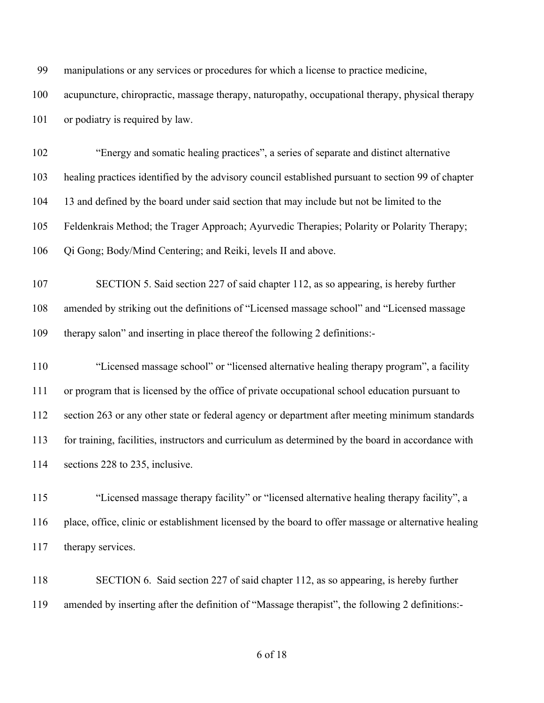| 99  | manipulations or any services or procedures for which a license to practice medicine,                |
|-----|------------------------------------------------------------------------------------------------------|
| 100 | acupuncture, chiropractic, massage therapy, naturopathy, occupational therapy, physical therapy      |
| 101 | or podiatry is required by law.                                                                      |
| 102 | "Energy and somatic healing practices", a series of separate and distinct alternative                |
| 103 | healing practices identified by the advisory council established pursuant to section 99 of chapter   |
| 104 | 13 and defined by the board under said section that may include but not be limited to the            |
| 105 | Feldenkrais Method; the Trager Approach; Ayurvedic Therapies; Polarity or Polarity Therapy;          |
| 106 | Qi Gong; Body/Mind Centering; and Reiki, levels II and above.                                        |
| 107 | SECTION 5. Said section 227 of said chapter 112, as so appearing, is hereby further                  |
| 108 | amended by striking out the definitions of "Licensed massage school" and "Licensed massage           |
| 109 | therapy salon" and inserting in place thereof the following 2 definitions:-                          |
| 110 | "Licensed massage school" or "licensed alternative healing therapy program", a facility              |
| 111 | or program that is licensed by the office of private occupational school education pursuant to       |
| 112 | section 263 or any other state or federal agency or department after meeting minimum standards       |
| 113 | for training, facilities, instructors and curriculum as determined by the board in accordance with   |
| 114 | sections 228 to 235, inclusive.                                                                      |
| 115 | "Licensed massage therapy facility" or "licensed alternative healing therapy facility", a            |
| 116 | place, office, clinic or establishment licensed by the board to offer massage or alternative healing |
| 117 | therapy services.                                                                                    |
| 118 | SECTION 6. Said section 227 of said chapter 112, as so appearing, is hereby further                  |
| 119 | amended by inserting after the definition of "Massage therapist", the following 2 definitions:-      |
|     |                                                                                                      |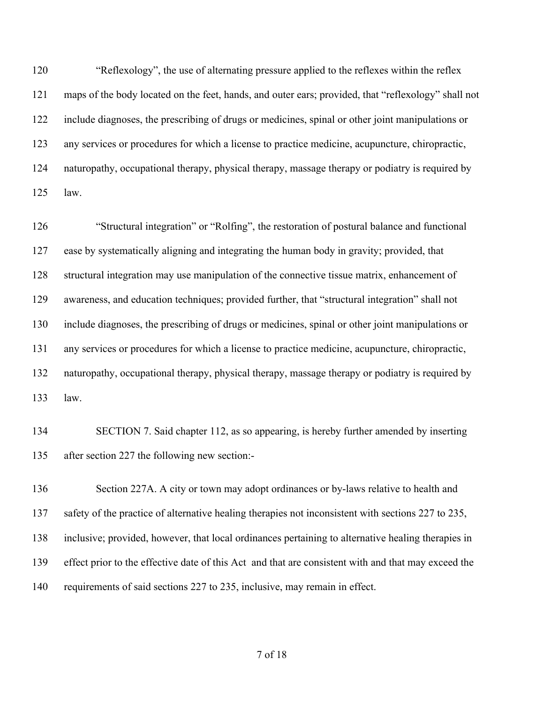"Reflexology", the use of alternating pressure applied to the reflexes within the reflex maps of the body located on the feet, hands, and outer ears; provided, that "reflexology" shall not include diagnoses, the prescribing of drugs or medicines, spinal or other joint manipulations or any services or procedures for which a license to practice medicine, acupuncture, chiropractic, naturopathy, occupational therapy, physical therapy, massage therapy or podiatry is required by law.

 "Structural integration" or "Rolfing", the restoration of postural balance and functional ease by systematically aligning and integrating the human body in gravity; provided, that structural integration may use manipulation of the connective tissue matrix, enhancement of awareness, and education techniques; provided further, that "structural integration" shall not include diagnoses, the prescribing of drugs or medicines, spinal or other joint manipulations or any services or procedures for which a license to practice medicine, acupuncture, chiropractic, naturopathy, occupational therapy, physical therapy, massage therapy or podiatry is required by law.

 SECTION 7. Said chapter 112, as so appearing, is hereby further amended by inserting after section 227 the following new section:-

 Section 227A. A city or town may adopt ordinances or by-laws relative to health and safety of the practice of alternative healing therapies not inconsistent with sections 227 to 235, inclusive; provided, however, that local ordinances pertaining to alternative healing therapies in effect prior to the effective date of this Act and that are consistent with and that may exceed the requirements of said sections 227 to 235, inclusive, may remain in effect.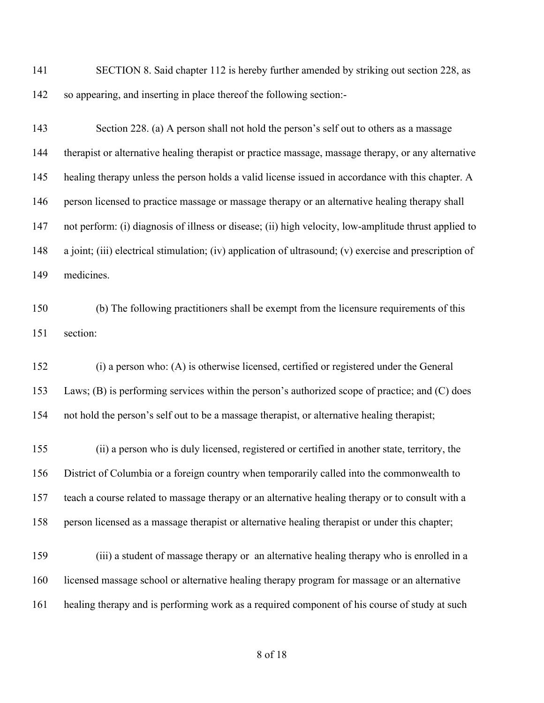SECTION 8. Said chapter 112 is hereby further amended by striking out section 228, as so appearing, and inserting in place thereof the following section:-

- 143 Section 228. (a) A person shall not hold the person's self out to others as a massage therapist or alternative healing therapist or practice massage, massage therapy, or any alternative healing therapy unless the person holds a valid license issued in accordance with this chapter. A person licensed to practice massage or massage therapy or an alternative healing therapy shall not perform: (i) diagnosis of illness or disease; (ii) high velocity, low-amplitude thrust applied to a joint; (iii) electrical stimulation; (iv) application of ultrasound; (v) exercise and prescription of medicines.
- (b) The following practitioners shall be exempt from the licensure requirements of this section:
- (i) a person who: (A) is otherwise licensed, certified or registered under the General Laws; (B) is performing services within the person's authorized scope of practice; and (C) does not hold the person's self out to be a massage therapist, or alternative healing therapist;
- (ii) a person who is duly licensed, registered or certified in another state, territory, the District of Columbia or a foreign country when temporarily called into the commonwealth to teach a course related to massage therapy or an alternative healing therapy or to consult with a person licensed as a massage therapist or alternative healing therapist or under this chapter;
- (iii) a student of massage therapy or an alternative healing therapy who is enrolled in a licensed massage school or alternative healing therapy program for massage or an alternative healing therapy and is performing work as a required component of his course of study at such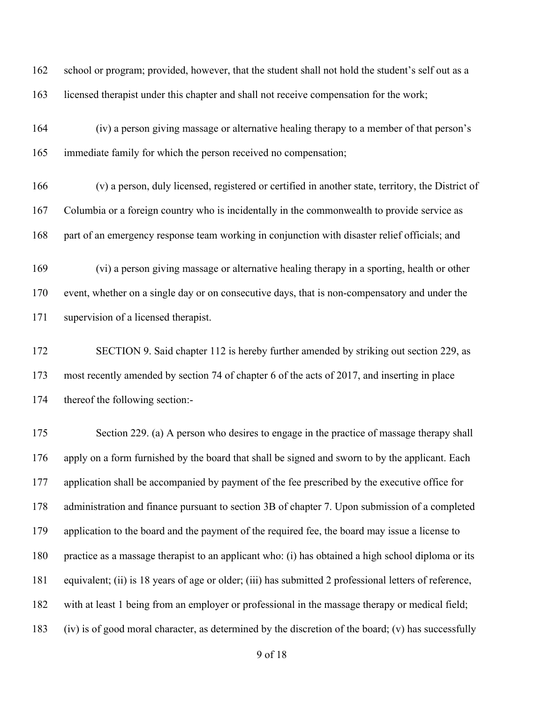school or program; provided, however, that the student shall not hold the student's self out as a licensed therapist under this chapter and shall not receive compensation for the work; (iv) a person giving massage or alternative healing therapy to a member of that person's immediate family for which the person received no compensation; (v) a person, duly licensed, registered or certified in another state, territory, the District of Columbia or a foreign country who is incidentally in the commonwealth to provide service as part of an emergency response team working in conjunction with disaster relief officials; and (vi) a person giving massage or alternative healing therapy in a sporting, health or other event, whether on a single day or on consecutive days, that is non-compensatory and under the supervision of a licensed therapist. SECTION 9. Said chapter 112 is hereby further amended by striking out section 229, as most recently amended by section 74 of chapter 6 of the acts of 2017, and inserting in place thereof the following section:- 175 Section 229. (a) A person who desires to engage in the practice of massage therapy shall apply on a form furnished by the board that shall be signed and sworn to by the applicant. Each application shall be accompanied by payment of the fee prescribed by the executive office for administration and finance pursuant to section 3B of chapter 7. Upon submission of a completed application to the board and the payment of the required fee, the board may issue a license to practice as a massage therapist to an applicant who: (i) has obtained a high school diploma or its equivalent; (ii) is 18 years of age or older; (iii) has submitted 2 professional letters of reference, with at least 1 being from an employer or professional in the massage therapy or medical field;

(iv) is of good moral character, as determined by the discretion of the board; (v) has successfully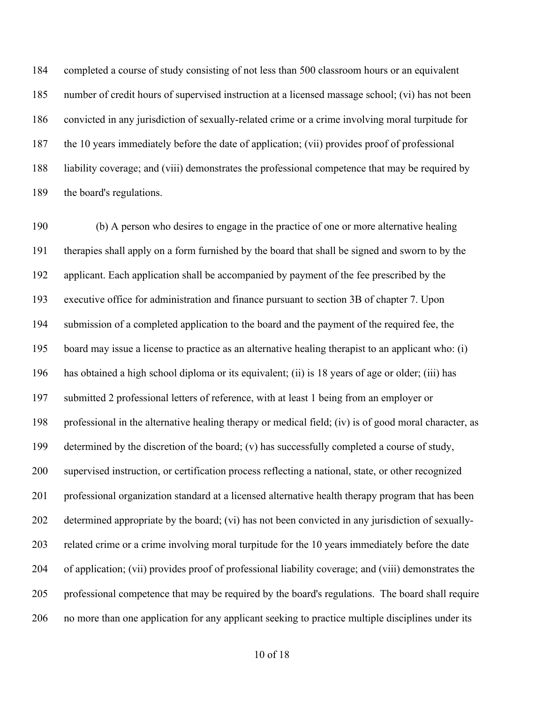completed a course of study consisting of not less than 500 classroom hours or an equivalent number of credit hours of supervised instruction at a licensed massage school; (vi) has not been convicted in any jurisdiction of sexually-related crime or a crime involving moral turpitude for the 10 years immediately before the date of application; (vii) provides proof of professional liability coverage; and (viii) demonstrates the professional competence that may be required by the board's regulations.

 (b) A person who desires to engage in the practice of one or more alternative healing therapies shall apply on a form furnished by the board that shall be signed and sworn to by the applicant. Each application shall be accompanied by payment of the fee prescribed by the executive office for administration and finance pursuant to section 3B of chapter 7. Upon submission of a completed application to the board and the payment of the required fee, the board may issue a license to practice as an alternative healing therapist to an applicant who: (i) has obtained a high school diploma or its equivalent; (ii) is 18 years of age or older; (iii) has submitted 2 professional letters of reference, with at least 1 being from an employer or professional in the alternative healing therapy or medical field; (iv) is of good moral character, as determined by the discretion of the board; (v) has successfully completed a course of study, supervised instruction, or certification process reflecting a national, state, or other recognized professional organization standard at a licensed alternative health therapy program that has been determined appropriate by the board; (vi) has not been convicted in any jurisdiction of sexually- related crime or a crime involving moral turpitude for the 10 years immediately before the date of application; (vii) provides proof of professional liability coverage; and (viii) demonstrates the professional competence that may be required by the board's regulations. The board shall require no more than one application for any applicant seeking to practice multiple disciplines under its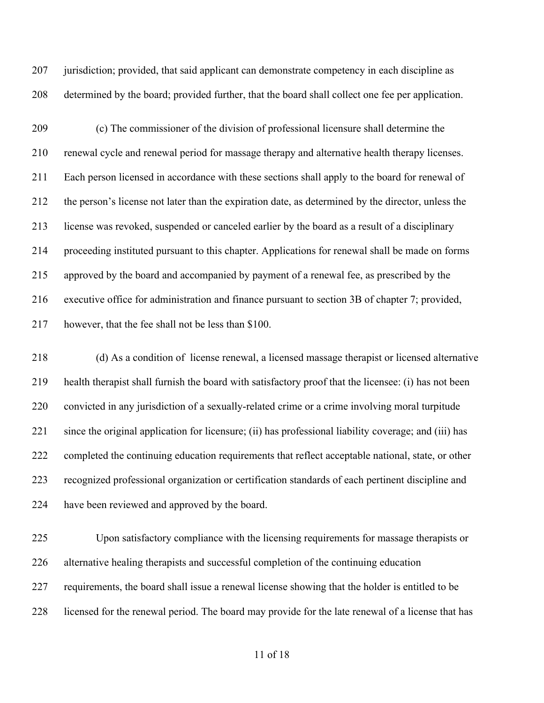207 jurisdiction; provided, that said applicant can demonstrate competency in each discipline as determined by the board; provided further, that the board shall collect one fee per application.

 (c) The commissioner of the division of professional licensure shall determine the renewal cycle and renewal period for massage therapy and alternative health therapy licenses. Each person licensed in accordance with these sections shall apply to the board for renewal of the person's license not later than the expiration date, as determined by the director, unless the license was revoked, suspended or canceled earlier by the board as a result of a disciplinary proceeding instituted pursuant to this chapter. Applications for renewal shall be made on forms approved by the board and accompanied by payment of a renewal fee, as prescribed by the executive office for administration and finance pursuant to section 3B of chapter 7; provided, however, that the fee shall not be less than \$100.

 (d) As a condition of license renewal, a licensed massage therapist or licensed alternative health therapist shall furnish the board with satisfactory proof that the licensee: (i) has not been convicted in any jurisdiction of a sexually-related crime or a crime involving moral turpitude since the original application for licensure; (ii) has professional liability coverage; and (iii) has completed the continuing education requirements that reflect acceptable national, state, or other recognized professional organization or certification standards of each pertinent discipline and have been reviewed and approved by the board.

 Upon satisfactory compliance with the licensing requirements for massage therapists or alternative healing therapists and successful completion of the continuing education requirements, the board shall issue a renewal license showing that the holder is entitled to be licensed for the renewal period. The board may provide for the late renewal of a license that has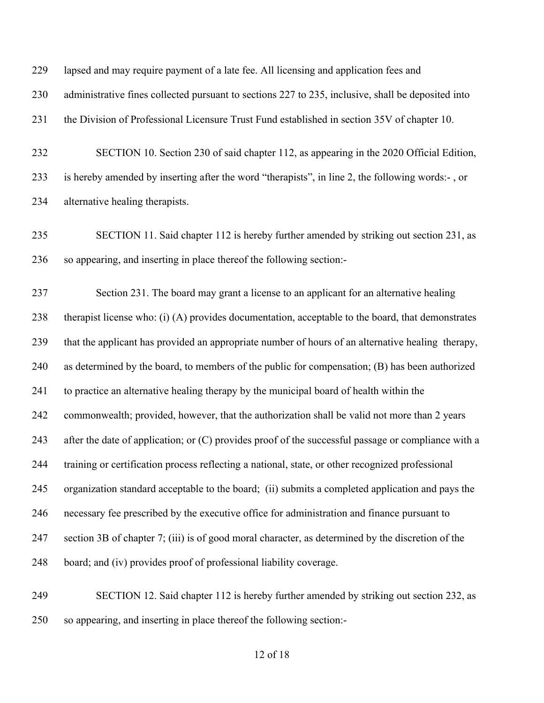| 229 | lapsed and may require payment of a late fee. All licensing and application fees and                |
|-----|-----------------------------------------------------------------------------------------------------|
| 230 | administrative fines collected pursuant to sections 227 to 235, inclusive, shall be deposited into  |
| 231 | the Division of Professional Licensure Trust Fund established in section 35V of chapter 10.         |
| 232 | SECTION 10. Section 230 of said chapter 112, as appearing in the 2020 Official Edition,             |
| 233 | is hereby amended by inserting after the word "therapists", in line 2, the following words:-, or    |
| 234 | alternative healing therapists.                                                                     |
| 235 | SECTION 11. Said chapter 112 is hereby further amended by striking out section 231, as              |
| 236 | so appearing, and inserting in place thereof the following section:-                                |
| 237 | Section 231. The board may grant a license to an applicant for an alternative healing               |
| 238 | therapist license who: (i) (A) provides documentation, acceptable to the board, that demonstrates   |
| 239 | that the applicant has provided an appropriate number of hours of an alternative healing therapy,   |
| 240 | as determined by the board, to members of the public for compensation; (B) has been authorized      |
| 241 | to practice an alternative healing therapy by the municipal board of health within the              |
| 242 | commonwealth; provided, however, that the authorization shall be valid not more than 2 years        |
| 243 | after the date of application; or (C) provides proof of the successful passage or compliance with a |
| 244 | training or certification process reflecting a national, state, or other recognized professional    |
| 245 | organization standard acceptable to the board; (ii) submits a completed application and pays the    |
| 246 | necessary fee prescribed by the executive office for administration and finance pursuant to         |
| 247 | section 3B of chapter 7; (iii) is of good moral character, as determined by the discretion of the   |
| 248 | board; and (iv) provides proof of professional liability coverage.                                  |
| 249 | SECTION 12. Said chapter 112 is hereby further amended by striking out section 232, as              |
| 250 | so appearing, and inserting in place thereof the following section:-                                |
|     |                                                                                                     |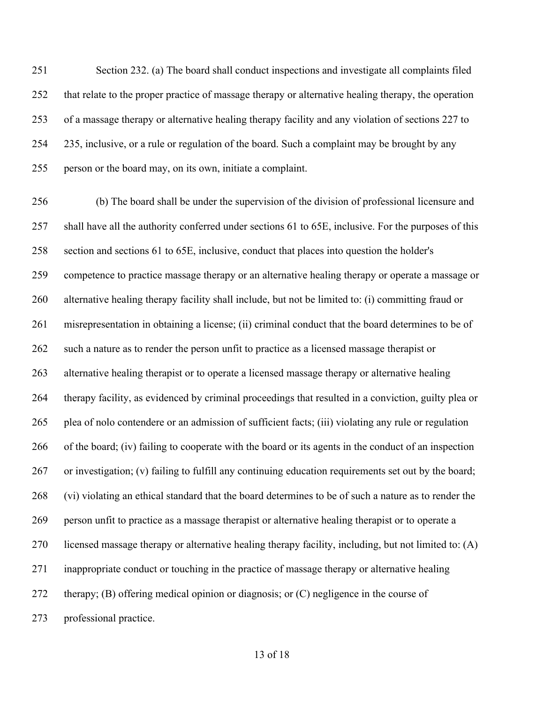Section 232. (a) The board shall conduct inspections and investigate all complaints filed that relate to the proper practice of massage therapy or alternative healing therapy, the operation of a massage therapy or alternative healing therapy facility and any violation of sections 227 to 235, inclusive, or a rule or regulation of the board. Such a complaint may be brought by any person or the board may, on its own, initiate a complaint.

 (b) The board shall be under the supervision of the division of professional licensure and shall have all the authority conferred under sections 61 to 65E, inclusive. For the purposes of this section and sections 61 to 65E, inclusive, conduct that places into question the holder's competence to practice massage therapy or an alternative healing therapy or operate a massage or alternative healing therapy facility shall include, but not be limited to: (i) committing fraud or misrepresentation in obtaining a license; (ii) criminal conduct that the board determines to be of 262 such a nature as to render the person unfit to practice as a licensed massage therapist or alternative healing therapist or to operate a licensed massage therapy or alternative healing therapy facility, as evidenced by criminal proceedings that resulted in a conviction, guilty plea or plea of nolo contendere or an admission of sufficient facts; (iii) violating any rule or regulation of the board; (iv) failing to cooperate with the board or its agents in the conduct of an inspection or investigation; (v) failing to fulfill any continuing education requirements set out by the board; (vi) violating an ethical standard that the board determines to be of such a nature as to render the person unfit to practice as a massage therapist or alternative healing therapist or to operate a licensed massage therapy or alternative healing therapy facility, including, but not limited to: (A) inappropriate conduct or touching in the practice of massage therapy or alternative healing therapy; (B) offering medical opinion or diagnosis; or (C) negligence in the course of professional practice.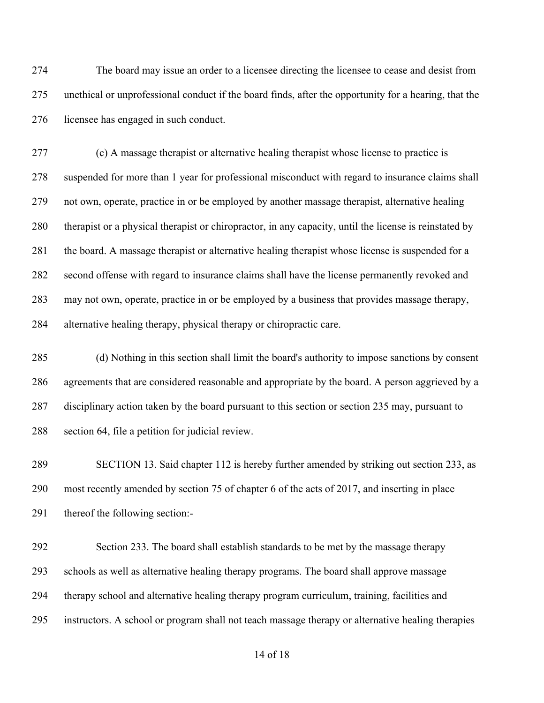The board may issue an order to a licensee directing the licensee to cease and desist from unethical or unprofessional conduct if the board finds, after the opportunity for a hearing, that the licensee has engaged in such conduct.

 (c) A massage therapist or alternative healing therapist whose license to practice is suspended for more than 1 year for professional misconduct with regard to insurance claims shall not own, operate, practice in or be employed by another massage therapist, alternative healing therapist or a physical therapist or chiropractor, in any capacity, until the license is reinstated by the board. A massage therapist or alternative healing therapist whose license is suspended for a second offense with regard to insurance claims shall have the license permanently revoked and may not own, operate, practice in or be employed by a business that provides massage therapy, alternative healing therapy, physical therapy or chiropractic care.

 (d) Nothing in this section shall limit the board's authority to impose sanctions by consent agreements that are considered reasonable and appropriate by the board. A person aggrieved by a disciplinary action taken by the board pursuant to this section or section 235 may, pursuant to section 64, file a petition for judicial review.

 SECTION 13. Said chapter 112 is hereby further amended by striking out section 233, as most recently amended by section 75 of chapter 6 of the acts of 2017, and inserting in place thereof the following section:-

 Section 233. The board shall establish standards to be met by the massage therapy schools as well as alternative healing therapy programs. The board shall approve massage therapy school and alternative healing therapy program curriculum, training, facilities and instructors. A school or program shall not teach massage therapy or alternative healing therapies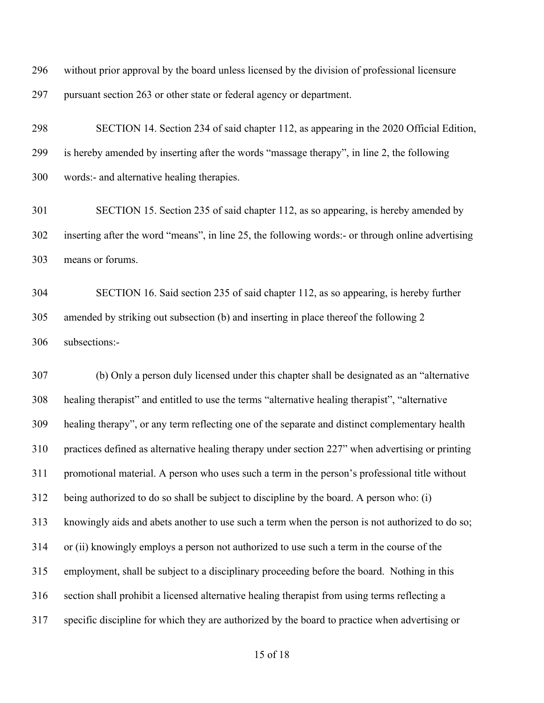without prior approval by the board unless licensed by the division of professional licensure pursuant section 263 or other state or federal agency or department.

 SECTION 14. Section 234 of said chapter 112, as appearing in the 2020 Official Edition, is hereby amended by inserting after the words "massage therapy", in line 2, the following words:- and alternative healing therapies.

 SECTION 15. Section 235 of said chapter 112, as so appearing, is hereby amended by inserting after the word "means", in line 25, the following words:- or through online advertising means or forums.

 SECTION 16. Said section 235 of said chapter 112, as so appearing, is hereby further amended by striking out subsection (b) and inserting in place thereof the following 2 subsections:-

 (b) Only a person duly licensed under this chapter shall be designated as an "alternative healing therapist" and entitled to use the terms "alternative healing therapist", "alternative healing therapy", or any term reflecting one of the separate and distinct complementary health practices defined as alternative healing therapy under section 227" when advertising or printing promotional material. A person who uses such a term in the person's professional title without being authorized to do so shall be subject to discipline by the board. A person who: (i) knowingly aids and abets another to use such a term when the person is not authorized to do so; or (ii) knowingly employs a person not authorized to use such a term in the course of the employment, shall be subject to a disciplinary proceeding before the board. Nothing in this section shall prohibit a licensed alternative healing therapist from using terms reflecting a specific discipline for which they are authorized by the board to practice when advertising or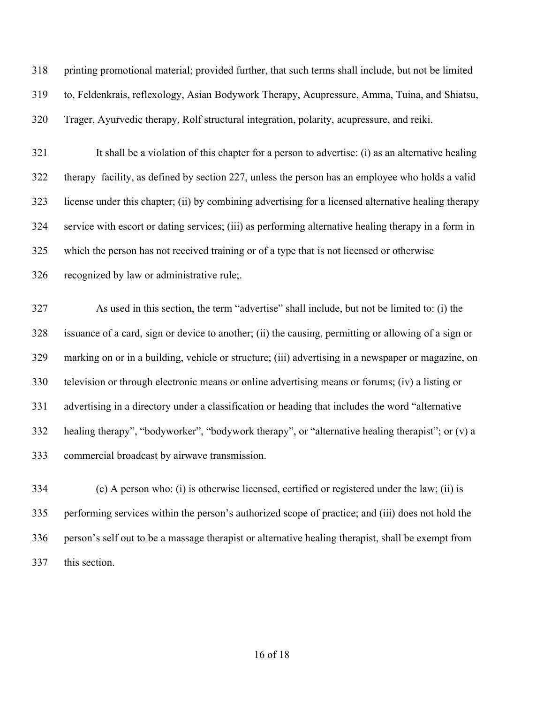printing promotional material; provided further, that such terms shall include, but not be limited to, Feldenkrais, reflexology, Asian Bodywork Therapy, Acupressure, Amma, Tuina, and Shiatsu, Trager, Ayurvedic therapy, Rolf structural integration, polarity, acupressure, and reiki.

 It shall be a violation of this chapter for a person to advertise: (i) as an alternative healing therapy facility, as defined by section 227, unless the person has an employee who holds a valid license under this chapter; (ii) by combining advertising for a licensed alternative healing therapy service with escort or dating services; (iii) as performing alternative healing therapy in a form in which the person has not received training or of a type that is not licensed or otherwise recognized by law or administrative rule;.

 As used in this section, the term "advertise" shall include, but not be limited to: (i) the issuance of a card, sign or device to another; (ii) the causing, permitting or allowing of a sign or marking on or in a building, vehicle or structure; (iii) advertising in a newspaper or magazine, on television or through electronic means or online advertising means or forums; (iv) a listing or advertising in a directory under a classification or heading that includes the word "alternative healing therapy", "bodyworker", "bodywork therapy", or "alternative healing therapist"; or (v) a commercial broadcast by airwave transmission.

 (c) A person who: (i) is otherwise licensed, certified or registered under the law; (ii) is performing services within the person's authorized scope of practice; and (iii) does not hold the person's self out to be a massage therapist or alternative healing therapist, shall be exempt from this section.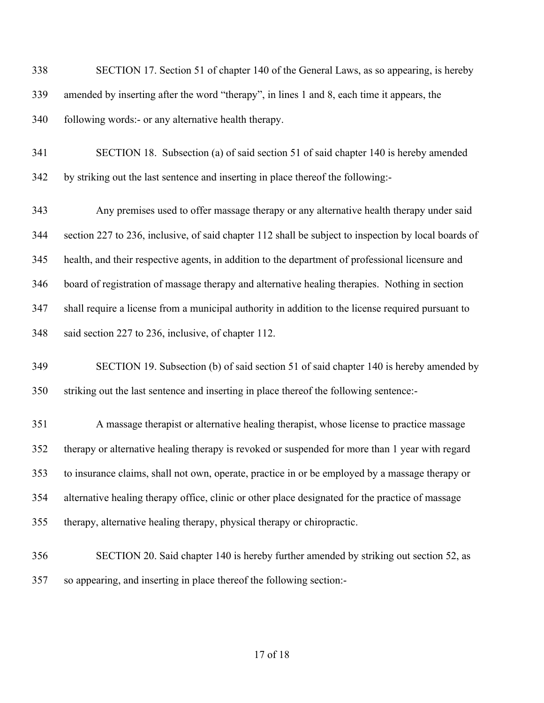SECTION 17. Section 51 of chapter 140 of the General Laws, as so appearing, is hereby amended by inserting after the word "therapy", in lines 1 and 8, each time it appears, the 340 following words:- or any alternative health therapy.

 SECTION 18. Subsection (a) of said section 51 of said chapter 140 is hereby amended by striking out the last sentence and inserting in place thereof the following:-

 Any premises used to offer massage therapy or any alternative health therapy under said section 227 to 236, inclusive, of said chapter 112 shall be subject to inspection by local boards of health, and their respective agents, in addition to the department of professional licensure and board of registration of massage therapy and alternative healing therapies. Nothing in section shall require a license from a municipal authority in addition to the license required pursuant to said section 227 to 236, inclusive, of chapter 112.

 SECTION 19. Subsection (b) of said section 51 of said chapter 140 is hereby amended by striking out the last sentence and inserting in place thereof the following sentence:-

 A massage therapist or alternative healing therapist, whose license to practice massage therapy or alternative healing therapy is revoked or suspended for more than 1 year with regard to insurance claims, shall not own, operate, practice in or be employed by a massage therapy or alternative healing therapy office, clinic or other place designated for the practice of massage therapy, alternative healing therapy, physical therapy or chiropractic.

 SECTION 20. Said chapter 140 is hereby further amended by striking out section 52, as so appearing, and inserting in place thereof the following section:-